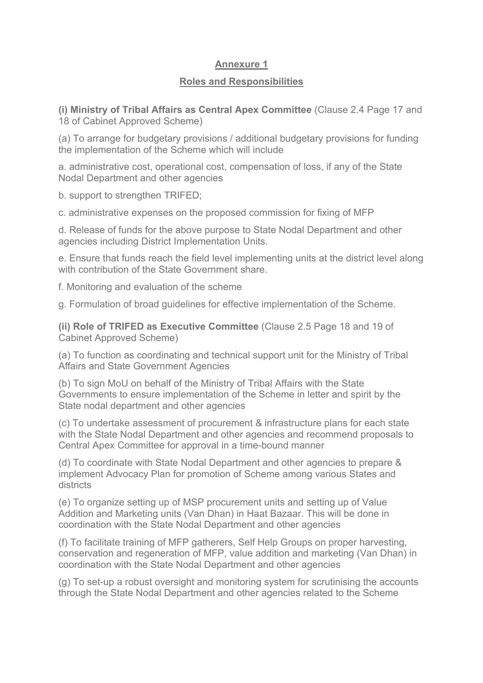## **Annexure 1**

## **Roles and Responsibilities**

**(i) Ministry of Tribal Affairs as Central Apex Committee** (Clause 2.4 Page 17 and 18 of Cabinet Approved Scheme)

(a) To arrange for budgetary provisions / additional budgetary provisions for funding the implementation of the Scheme which will include

a. administrative cost, operational cost, compensation of loss, if any of the State Nodal Department and other agencies

b. support to strengthen TRIFED;

c. administrative expenses on the proposed commission for fixing of MFP

d. Release of funds for the above purpose to State Nodal Department and other agencies including District Implementation Units.

e. Ensure that funds reach the field level implementing units at the district level along with contribution of the State Government share.

f. Monitoring and evaluation of the scheme

g. Formulation of broad guidelines for effective implementation of the Scheme.

**(ii) Role of TRIFED as Executive Committee** (Clause 2.5 Page 18 and 19 of Cabinet Approved Scheme)

(a) To function as coordinating and technical support unit for the Ministry of Tribal Affairs and State Government Agencies

(b) To sign MoU on behalf of the Ministry of Tribal Affairs with the State Governments to ensure implementation of the Scheme in letter and spirit by the State nodal department and other agencies

(c) To undertake assessment of procurement & infrastructure plans for each state with the State Nodal Department and other agencies and recommend proposals to Central Apex Committee for approval in a time-bound manner

(d) To coordinate with State Nodal Department and other agencies to prepare & implement Advocacy Plan for promotion of Scheme among various States and districts

(e) To organize setting up of MSP procurement units and setting up of Value Addition and Marketing units (Van Dhan) in Haat Bazaar. This will be done in coordination with the State Nodal Department and other agencies

(f) To facilitate training of MFP gatherers, Self Help Groups on proper harvesting, conservation and regeneration of MFP, value addition and marketing (Van Dhan) in coordination with the State Nodal Department and other agencies

(g) To set-up a robust oversight and monitoring system for scrutinising the accounts through the State Nodal Department and other agencies related to the Scheme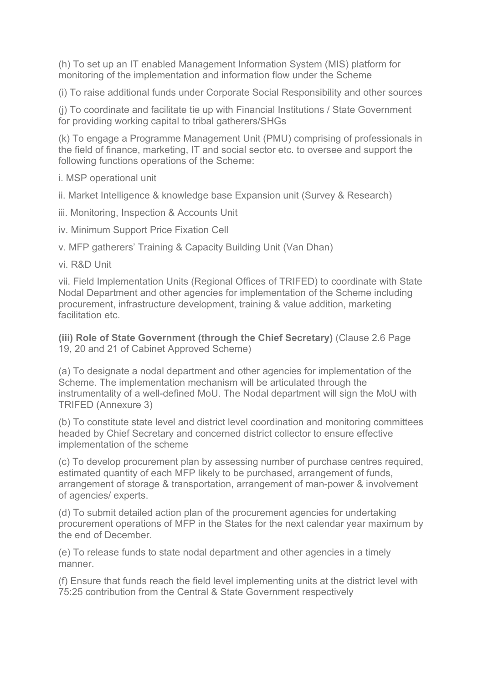(h) To set up an IT enabled Management Information System (MIS) platform for monitoring of the implementation and information flow under the Scheme

(i) To raise additional funds under Corporate Social Responsibility and other sources

(j) To coordinate and facilitate tie up with Financial Institutions / State Government for providing working capital to tribal gatherers/SHGs

(k) To engage a Programme Management Unit (PMU) comprising of professionals in the field of finance, marketing, IT and social sector etc. to oversee and support the following functions operations of the Scheme:

i. MSP operational unit

ii. Market Intelligence & knowledge base Expansion unit (Survey & Research)

iii. Monitoring, Inspection & Accounts Unit

iv. Minimum Support Price Fixation Cell

v. MFP gatherers' Training & Capacity Building Unit (Van Dhan)

vi. R&D Unit

vii. Field Implementation Units (Regional Offices of TRIFED) to coordinate with State Nodal Department and other agencies for implementation of the Scheme including procurement, infrastructure development, training & value addition, marketing facilitation etc.

**(iii) Role of State Government (through the Chief Secretary)** (Clause 2.6 Page 19, 20 and 21 of Cabinet Approved Scheme)

(a) To designate a nodal department and other agencies for implementation of the Scheme. The implementation mechanism will be articulated through the instrumentality of a well-defined MoU. The Nodal department will sign the MoU with TRIFED (Annexure 3)

(b) To constitute state level and district level coordination and monitoring committees headed by Chief Secretary and concerned district collector to ensure effective implementation of the scheme

(c) To develop procurement plan by assessing number of purchase centres required, estimated quantity of each MFP likely to be purchased, arrangement of funds, arrangement of storage & transportation, arrangement of man-power & involvement of agencies/ experts.

(d) To submit detailed action plan of the procurement agencies for undertaking procurement operations of MFP in the States for the next calendar year maximum by the end of December.

(e) To release funds to state nodal department and other agencies in a timely manner.

(f) Ensure that funds reach the field level implementing units at the district level with 75:25 contribution from the Central & State Government respectively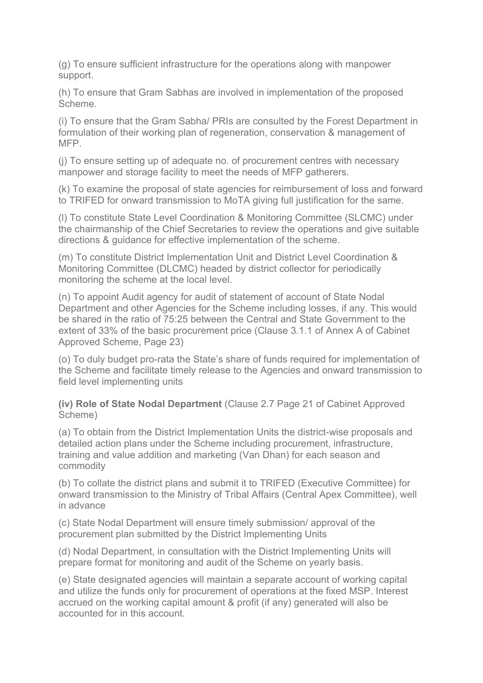(g) To ensure sufficient infrastructure for the operations along with manpower support.

(h) To ensure that Gram Sabhas are involved in implementation of the proposed Scheme.

(i) To ensure that the Gram Sabha/ PRIs are consulted by the Forest Department in formulation of their working plan of regeneration, conservation & management of MFP.

(j) To ensure setting up of adequate no. of procurement centres with necessary manpower and storage facility to meet the needs of MFP gatherers.

(k) To examine the proposal of state agencies for reimbursement of loss and forward to TRIFED for onward transmission to MoTA giving full justification for the same.

(l) To constitute State Level Coordination & Monitoring Committee (SLCMC) under the chairmanship of the Chief Secretaries to review the operations and give suitable directions & guidance for effective implementation of the scheme.

(m) To constitute District Implementation Unit and District Level Coordination & Monitoring Committee (DLCMC) headed by district collector for periodically monitoring the scheme at the local level.

(n) To appoint Audit agency for audit of statement of account of State Nodal Department and other Agencies for the Scheme including losses, if any. This would be shared in the ratio of 75:25 between the Central and State Government to the extent of 33% of the basic procurement price (Clause 3.1.1 of Annex A of Cabinet Approved Scheme, Page 23)

(o) To duly budget pro-rata the State's share of funds required for implementation of the Scheme and facilitate timely release to the Agencies and onward transmission to field level implementing units

**(iv) Role of State Nodal Department** (Clause 2.7 Page 21 of Cabinet Approved Scheme)

(a) To obtain from the District Implementation Units the district-wise proposals and detailed action plans under the Scheme including procurement, infrastructure, training and value addition and marketing (Van Dhan) for each season and commodity

(b) To collate the district plans and submit it to TRIFED (Executive Committee) for onward transmission to the Ministry of Tribal Affairs (Central Apex Committee), well in advance

(c) State Nodal Department will ensure timely submission/ approval of the procurement plan submitted by the District Implementing Units

(d) Nodal Department, in consultation with the District Implementing Units will prepare format for monitoring and audit of the Scheme on yearly basis.

(e) State designated agencies will maintain a separate account of working capital and utilize the funds only for procurement of operations at the fixed MSP. Interest accrued on the working capital amount & profit (if any) generated will also be accounted for in this account.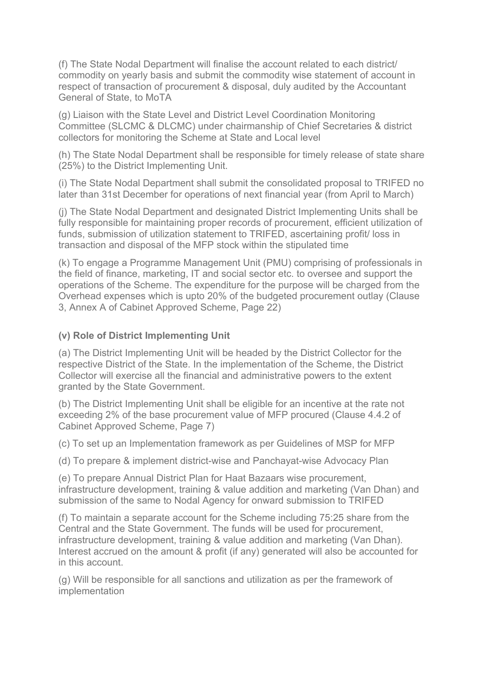(f) The State Nodal Department will finalise the account related to each district/ commodity on yearly basis and submit the commodity wise statement of account in respect of transaction of procurement & disposal, duly audited by the Accountant General of State, to MoTA

(g) Liaison with the State Level and District Level Coordination Monitoring Committee (SLCMC & DLCMC) under chairmanship of Chief Secretaries & district collectors for monitoring the Scheme at State and Local level

(h) The State Nodal Department shall be responsible for timely release of state share (25%) to the District Implementing Unit.

(i) The State Nodal Department shall submit the consolidated proposal to TRIFED no later than 31st December for operations of next financial year (from April to March)

(j) The State Nodal Department and designated District Implementing Units shall be fully responsible for maintaining proper records of procurement, efficient utilization of funds, submission of utilization statement to TRIFED, ascertaining profit/ loss in transaction and disposal of the MFP stock within the stipulated time

(k) To engage a Programme Management Unit (PMU) comprising of professionals in the field of finance, marketing, IT and social sector etc. to oversee and support the operations of the Scheme. The expenditure for the purpose will be charged from the Overhead expenses which is upto 20% of the budgeted procurement outlay (Clause 3, Annex A of Cabinet Approved Scheme, Page 22)

## **(v) Role of District Implementing Unit**

(a) The District Implementing Unit will be headed by the District Collector for the respective District of the State. In the implementation of the Scheme, the District Collector will exercise all the financial and administrative powers to the extent granted by the State Government.

(b) The District Implementing Unit shall be eligible for an incentive at the rate not exceeding 2% of the base procurement value of MFP procured (Clause 4.4.2 of Cabinet Approved Scheme, Page 7)

(c) To set up an Implementation framework as per Guidelines of MSP for MFP

(d) To prepare & implement district-wise and Panchayat-wise Advocacy Plan

(e) To prepare Annual District Plan for Haat Bazaars wise procurement, infrastructure development, training & value addition and marketing (Van Dhan) and submission of the same to Nodal Agency for onward submission to TRIFED

(f) To maintain a separate account for the Scheme including 75:25 share from the Central and the State Government. The funds will be used for procurement, infrastructure development, training & value addition and marketing (Van Dhan). Interest accrued on the amount & profit (if any) generated will also be accounted for in this account.

(g) Will be responsible for all sanctions and utilization as per the framework of implementation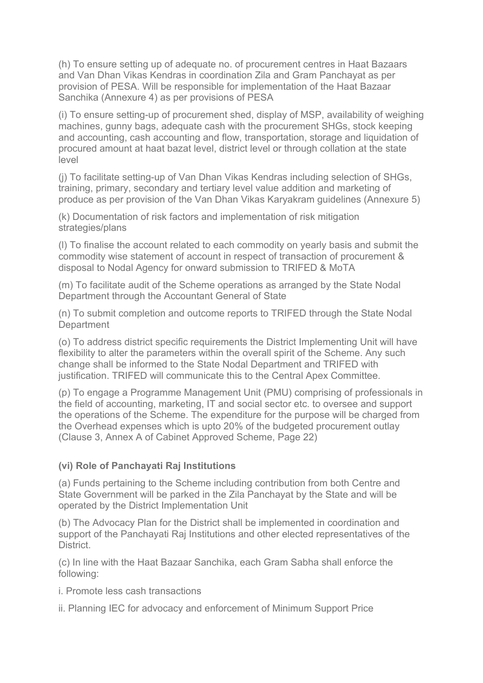(h) To ensure setting up of adequate no. of procurement centres in Haat Bazaars and Van Dhan Vikas Kendras in coordination Zila and Gram Panchayat as per provision of PESA. Will be responsible for implementation of the Haat Bazaar Sanchika (Annexure 4) as per provisions of PESA

(i) To ensure setting-up of procurement shed, display of MSP, availability of weighing machines, gunny bags, adequate cash with the procurement SHGs, stock keeping and accounting, cash accounting and flow, transportation, storage and liquidation of procured amount at haat bazat level, district level or through collation at the state level

(j) To facilitate setting-up of Van Dhan Vikas Kendras including selection of SHGs, training, primary, secondary and tertiary level value addition and marketing of produce as per provision of the Van Dhan Vikas Karyakram guidelines (Annexure 5)

(k) Documentation of risk factors and implementation of risk mitigation strategies/plans

(l) To finalise the account related to each commodity on yearly basis and submit the commodity wise statement of account in respect of transaction of procurement & disposal to Nodal Agency for onward submission to TRIFED & MoTA

(m) To facilitate audit of the Scheme operations as arranged by the State Nodal Department through the Accountant General of State

(n) To submit completion and outcome reports to TRIFED through the State Nodal **Department** 

(o) To address district specific requirements the District Implementing Unit will have flexibility to alter the parameters within the overall spirit of the Scheme. Any such change shall be informed to the State Nodal Department and TRIFED with justification. TRIFED will communicate this to the Central Apex Committee.

(p) To engage a Programme Management Unit (PMU) comprising of professionals in the field of accounting, marketing, IT and social sector etc. to oversee and support the operations of the Scheme. The expenditure for the purpose will be charged from the Overhead expenses which is upto 20% of the budgeted procurement outlay (Clause 3, Annex A of Cabinet Approved Scheme, Page 22)

## **(vi) Role of Panchayati Raj Institutions**

(a) Funds pertaining to the Scheme including contribution from both Centre and State Government will be parked in the Zila Panchayat by the State and will be operated by the District Implementation Unit

(b) The Advocacy Plan for the District shall be implemented in coordination and support of the Panchayati Raj Institutions and other elected representatives of the District.

(c) In line with the Haat Bazaar Sanchika, each Gram Sabha shall enforce the following:

i. Promote less cash transactions

ii. Planning IEC for advocacy and enforcement of Minimum Support Price